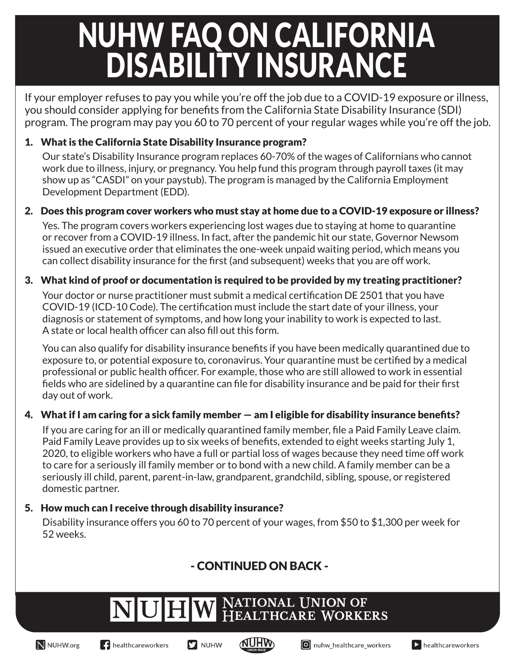# NUHW FAQ ON CALIFORNIA DISABILITY INSURANCE

If your employer refuses to pay you while you're off the job due to a COVID-19 exposure or illness, you should consider applying for benefits from the California State Disability Insurance (SDI) program. The program may pay you 60 to 70 percent of your regular wages while you're off the job.

### 1. What is the California State Disability Insurance program?

Our state's Disability Insurance program replaces 60-70% of the wages of Californians who cannot work due to illness, injury, or pregnancy. You help fund this program through payroll taxes (it may show up as "CASDI" on your paystub). The program is managed by the California Employment Development Department (EDD).

### 2. Does this program cover workers who must stay at home due to a COVID-19 exposure or illness?

Yes. The program covers workers experiencing lost wages due to staying at home to quarantine or recover from a COVID-19 illness. In fact, after the pandemic hit our state, Governor Newsom issued an executive order that eliminates the one-week unpaid waiting period, which means you can collect disability insurance for the first (and subsequent) weeks that you are off work.

### 3. What kind of proof or documentation is required to be provided by my treating practitioner?

Your doctor or nurse practitioner must submit a medical certification DE 2501 that you have COVID-19 (ICD-10 Code). The certification must include the start date of your illness, your diagnosis or statement of symptoms, and how long your inability to work is expected to last. A state or local health officer can also fill out this form.

You can also qualify for disability insurance benefits if you have been medically quarantined due to exposure to, or potential exposure to, coronavirus. Your quarantine must be certified by a medical professional or public health officer. For example, those who are still allowed to work in essential fields who are sidelined by a quarantine can file for disability insurance and be paid for their first day out of work.

#### 4. What if I am caring for a sick family member — am I eligible for disability insurance benefits?

If you are caring for an ill or medically quarantined family member, file a Paid Family Leave claim. Paid Family Leave provides up to six weeks of benefits, extended to eight weeks starting July 1, 2020, to eligible workers who have a full or partial loss of wages because they need time off work to care for a seriously ill family member or to bond with a new child. A family member can be a seriously ill child, parent, parent-in-law, grandparent, grandchild, sibling, spouse, or registered domestic partner.

### 5. How much can I receive through disability insurance?

NUHW

Disability insurance offers you 60 to 70 percent of your wages, from \$50 to \$1,300 per week for 52 weeks.

### - CONTINUED ON BACK -



N NUHW.org





NATIONAL UNION OF<br>HEALTHCARE WORKERS